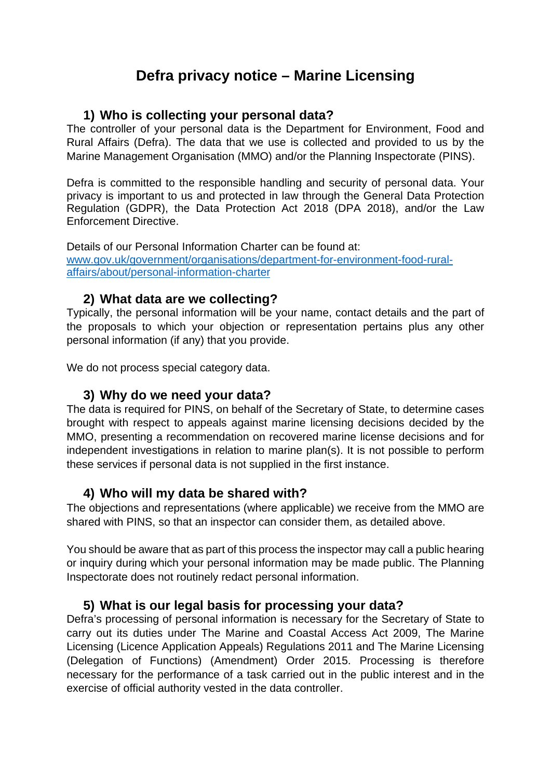# **Defra privacy notice – Marine Licensing**

## **1) Who is collecting your personal data?**

The controller of your personal data is the Department for Environment, Food and Rural Affairs (Defra). The data that we use is collected and provided to us by the Marine Management Organisation (MMO) and/or the Planning Inspectorate (PINS).

Defra is committed to the responsible handling and security of personal data. Your privacy is important to us and protected in law through the General Data Protection Regulation (GDPR), the Data Protection Act 2018 (DPA 2018), and/or the Law Enforcement Directive.

Details of our Personal Information Charter can be found at: [www.gov.uk/government/organisations/department-for-environment-food-rural](http://www.gov.uk/government/organisations/department-for-environment-food-rural-affairs/about/personal-information-charter)[affairs/about/personal-information-charter](http://www.gov.uk/government/organisations/department-for-environment-food-rural-affairs/about/personal-information-charter)

## **2) What data are we collecting?**

Typically, the personal information will be your name, contact details and the part of the proposals to which your objection or representation pertains plus any other personal information (if any) that you provide.

We do not process special category data.

## **3) Why do we need your data?**

The data is required for PINS, on behalf of the Secretary of State, to determine cases brought with respect to appeals against marine licensing decisions decided by the MMO, presenting a recommendation on recovered marine license decisions and for independent investigations in relation to marine plan(s). It is not possible to perform these services if personal data is not supplied in the first instance.

## **4) Who will my data be shared with?**

The objections and representations (where applicable) we receive from the MMO are shared with PINS, so that an inspector can consider them, as detailed above.

You should be aware that as part of this process the inspector may call a public hearing or inquiry during which your personal information may be made public. The Planning Inspectorate does not routinely redact personal information.

## **5) What is our legal basis for processing your data?**

Defra's processing of personal information is necessary for the Secretary of State to carry out its duties under The Marine and Coastal Access Act 2009, The Marine Licensing (Licence Application Appeals) Regulations 2011 and The Marine Licensing (Delegation of Functions) (Amendment) Order 2015. Processing is therefore necessary for the performance of a task carried out in the public interest and in the exercise of official authority vested in the data controller.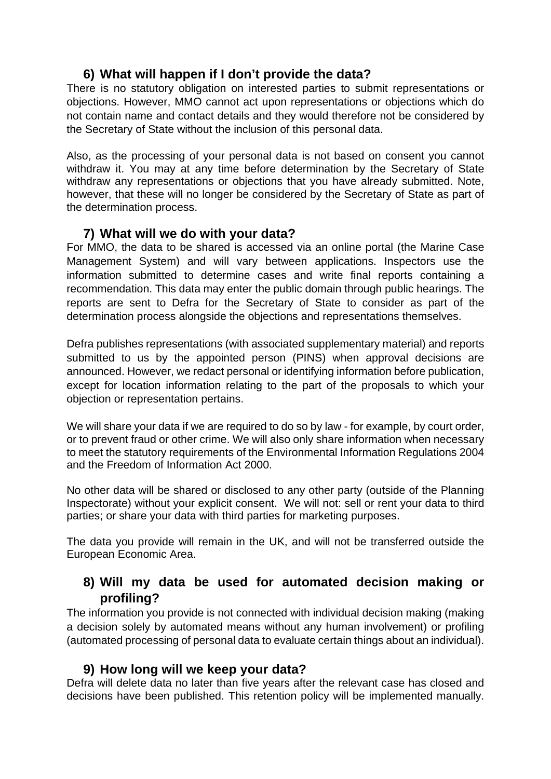## **6) What will happen if I don't provide the data?**

There is no statutory obligation on interested parties to submit representations or objections. However, MMO cannot act upon representations or objections which do not contain name and contact details and they would therefore not be considered by the Secretary of State without the inclusion of this personal data.

Also, as the processing of your personal data is not based on consent you cannot withdraw it. You may at any time before determination by the Secretary of State withdraw any representations or objections that you have already submitted. Note, however, that these will no longer be considered by the Secretary of State as part of the determination process.

## **7) What will we do with your data?**

For MMO, the data to be shared is accessed via an online portal (the Marine Case Management System) and will vary between applications. Inspectors use the information submitted to determine cases and write final reports containing a recommendation. This data may enter the public domain through public hearings. The reports are sent to Defra for the Secretary of State to consider as part of the determination process alongside the objections and representations themselves.

Defra publishes representations (with associated supplementary material) and reports submitted to us by the appointed person (PINS) when approval decisions are announced. However, we redact personal or identifying information before publication, except for location information relating to the part of the proposals to which your objection or representation pertains.

We will share your data if we are required to do so by law - for example, by court order, or to prevent fraud or other crime. We will also only share information when necessary to meet the statutory requirements of the Environmental Information Regulations 2004 and the Freedom of Information Act 2000.

No other data will be shared or disclosed to any other party (outside of the Planning Inspectorate) without your explicit consent. We will not: sell or rent your data to third parties; or share your data with third parties for marketing purposes.

The data you provide will remain in the UK, and will not be transferred outside the European Economic Area.

## **8) Will my data be used for automated decision making or profiling?**

The information you provide is not connected with individual decision making (making a decision solely by automated means without any human involvement) or profiling (automated processing of personal data to evaluate certain things about an individual).

## **9) How long will we keep your data?**

Defra will delete data no later than five years after the relevant case has closed and decisions have been published. This retention policy will be implemented manually.